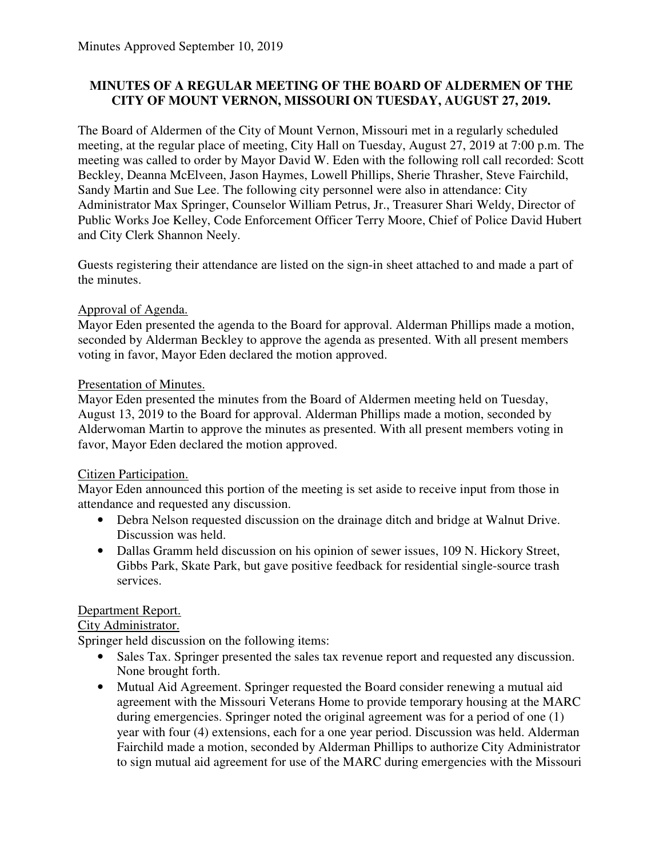## **MINUTES OF A REGULAR MEETING OF THE BOARD OF ALDERMEN OF THE CITY OF MOUNT VERNON, MISSOURI ON TUESDAY, AUGUST 27, 2019.**

The Board of Aldermen of the City of Mount Vernon, Missouri met in a regularly scheduled meeting, at the regular place of meeting, City Hall on Tuesday, August 27, 2019 at 7:00 p.m. The meeting was called to order by Mayor David W. Eden with the following roll call recorded: Scott Beckley, Deanna McElveen, Jason Haymes, Lowell Phillips, Sherie Thrasher, Steve Fairchild, Sandy Martin and Sue Lee. The following city personnel were also in attendance: City Administrator Max Springer, Counselor William Petrus, Jr., Treasurer Shari Weldy, Director of Public Works Joe Kelley, Code Enforcement Officer Terry Moore, Chief of Police David Hubert and City Clerk Shannon Neely.

Guests registering their attendance are listed on the sign-in sheet attached to and made a part of the minutes.

### Approval of Agenda.

Mayor Eden presented the agenda to the Board for approval. Alderman Phillips made a motion, seconded by Alderman Beckley to approve the agenda as presented. With all present members voting in favor, Mayor Eden declared the motion approved.

### Presentation of Minutes.

Mayor Eden presented the minutes from the Board of Aldermen meeting held on Tuesday, August 13, 2019 to the Board for approval. Alderman Phillips made a motion, seconded by Alderwoman Martin to approve the minutes as presented. With all present members voting in favor, Mayor Eden declared the motion approved.

### Citizen Participation.

Mayor Eden announced this portion of the meeting is set aside to receive input from those in attendance and requested any discussion.

- Debra Nelson requested discussion on the drainage ditch and bridge at Walnut Drive. Discussion was held.
- Dallas Gramm held discussion on his opinion of sewer issues, 109 N. Hickory Street, Gibbs Park, Skate Park, but gave positive feedback for residential single-source trash services.

# Department Report.

### City Administrator.

Springer held discussion on the following items:

- Sales Tax. Springer presented the sales tax revenue report and requested any discussion. None brought forth.
- Mutual Aid Agreement. Springer requested the Board consider renewing a mutual aid agreement with the Missouri Veterans Home to provide temporary housing at the MARC during emergencies. Springer noted the original agreement was for a period of one (1) year with four (4) extensions, each for a one year period. Discussion was held. Alderman Fairchild made a motion, seconded by Alderman Phillips to authorize City Administrator to sign mutual aid agreement for use of the MARC during emergencies with the Missouri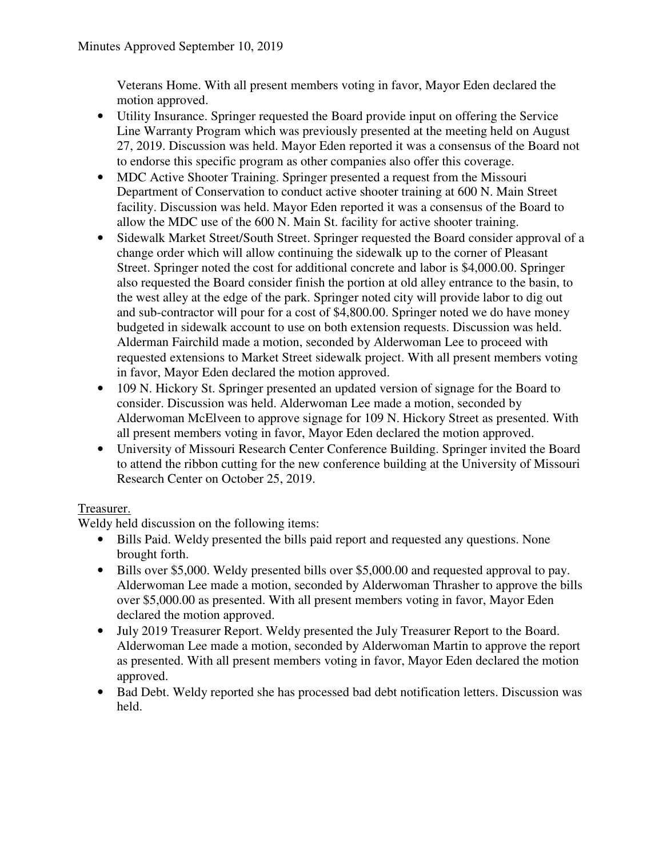Veterans Home. With all present members voting in favor, Mayor Eden declared the motion approved.

- Utility Insurance. Springer requested the Board provide input on offering the Service Line Warranty Program which was previously presented at the meeting held on August 27, 2019. Discussion was held. Mayor Eden reported it was a consensus of the Board not to endorse this specific program as other companies also offer this coverage.
- MDC Active Shooter Training. Springer presented a request from the Missouri Department of Conservation to conduct active shooter training at 600 N. Main Street facility. Discussion was held. Mayor Eden reported it was a consensus of the Board to allow the MDC use of the 600 N. Main St. facility for active shooter training.
- Sidewalk Market Street/South Street. Springer requested the Board consider approval of a change order which will allow continuing the sidewalk up to the corner of Pleasant Street. Springer noted the cost for additional concrete and labor is \$4,000.00. Springer also requested the Board consider finish the portion at old alley entrance to the basin, to the west alley at the edge of the park. Springer noted city will provide labor to dig out and sub-contractor will pour for a cost of \$4,800.00. Springer noted we do have money budgeted in sidewalk account to use on both extension requests. Discussion was held. Alderman Fairchild made a motion, seconded by Alderwoman Lee to proceed with requested extensions to Market Street sidewalk project. With all present members voting in favor, Mayor Eden declared the motion approved.
- 109 N. Hickory St. Springer presented an updated version of signage for the Board to consider. Discussion was held. Alderwoman Lee made a motion, seconded by Alderwoman McElveen to approve signage for 109 N. Hickory Street as presented. With all present members voting in favor, Mayor Eden declared the motion approved.
- University of Missouri Research Center Conference Building. Springer invited the Board to attend the ribbon cutting for the new conference building at the University of Missouri Research Center on October 25, 2019.

# Treasurer.

Weldy held discussion on the following items:

- Bills Paid. Weldy presented the bills paid report and requested any questions. None brought forth.
- Bills over \$5,000. Weldy presented bills over \$5,000.00 and requested approval to pay. Alderwoman Lee made a motion, seconded by Alderwoman Thrasher to approve the bills over \$5,000.00 as presented. With all present members voting in favor, Mayor Eden declared the motion approved.
- July 2019 Treasurer Report. Weldy presented the July Treasurer Report to the Board. Alderwoman Lee made a motion, seconded by Alderwoman Martin to approve the report as presented. With all present members voting in favor, Mayor Eden declared the motion approved.
- Bad Debt. Weldy reported she has processed bad debt notification letters. Discussion was held.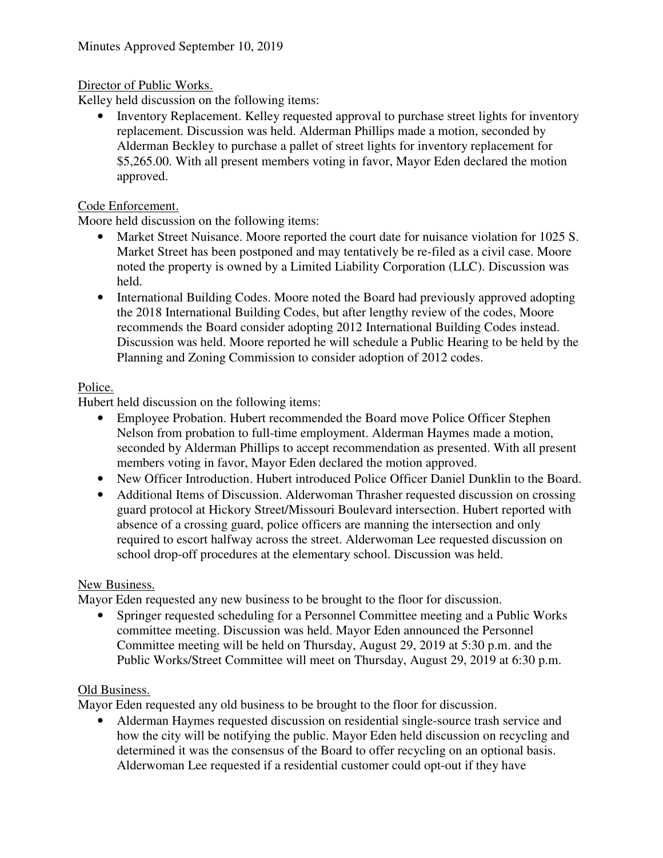## Director of Public Works.

Kelley held discussion on the following items:

• Inventory Replacement. Kelley requested approval to purchase street lights for inventory replacement. Discussion was held. Alderman Phillips made a motion, seconded by Alderman Beckley to purchase a pallet of street lights for inventory replacement for \$5,265.00. With all present members voting in favor, Mayor Eden declared the motion approved.

### Code Enforcement.

Moore held discussion on the following items:

- Market Street Nuisance. Moore reported the court date for nuisance violation for 1025 S. Market Street has been postponed and may tentatively be re-filed as a civil case. Moore noted the property is owned by a Limited Liability Corporation (LLC). Discussion was held.
- International Building Codes. Moore noted the Board had previously approved adopting the 2018 International Building Codes, but after lengthy review of the codes, Moore recommends the Board consider adopting 2012 International Building Codes instead. Discussion was held. Moore reported he will schedule a Public Hearing to be held by the Planning and Zoning Commission to consider adoption of 2012 codes.

### Police.

Hubert held discussion on the following items:

- Employee Probation. Hubert recommended the Board move Police Officer Stephen Nelson from probation to full-time employment. Alderman Haymes made a motion, seconded by Alderman Phillips to accept recommendation as presented. With all present members voting in favor, Mayor Eden declared the motion approved.
- New Officer Introduction. Hubert introduced Police Officer Daniel Dunklin to the Board.
- Additional Items of Discussion. Alderwoman Thrasher requested discussion on crossing guard protocol at Hickory Street/Missouri Boulevard intersection. Hubert reported with absence of a crossing guard, police officers are manning the intersection and only required to escort halfway across the street. Alderwoman Lee requested discussion on school drop-off procedures at the elementary school. Discussion was held.

### New Business.

Mayor Eden requested any new business to be brought to the floor for discussion.

• Springer requested scheduling for a Personnel Committee meeting and a Public Works committee meeting. Discussion was held. Mayor Eden announced the Personnel Committee meeting will be held on Thursday, August 29, 2019 at 5:30 p.m. and the Public Works/Street Committee will meet on Thursday, August 29, 2019 at 6:30 p.m.

### Old Business.

Mayor Eden requested any old business to be brought to the floor for discussion.

• Alderman Haymes requested discussion on residential single-source trash service and how the city will be notifying the public. Mayor Eden held discussion on recycling and determined it was the consensus of the Board to offer recycling on an optional basis. Alderwoman Lee requested if a residential customer could opt-out if they have